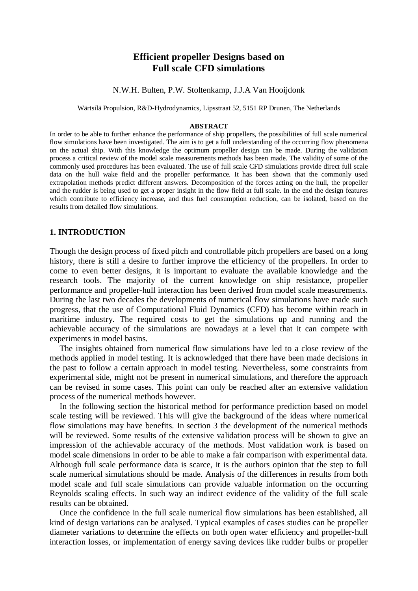# **Efficient propeller Designs based on Full scale CFD simulations**

N.W.H. Bulten, P.W. Stoltenkamp, J.J.A Van Hooijdonk

Wärtsilä Propulsion, R&D-Hydrodynamics, Lipsstraat 52, 5151 RP Drunen, The Netherlands

#### **ABSTRACT**

In order to be able to further enhance the performance of ship propellers, the possibilities of full scale numerical flow simulations have been investigated. The aim is to get a full understanding of the occurring flow phenomena on the actual ship. With this knowledge the optimum propeller design can be made. During the validation process a critical review of the model scale measurements methods has been made. The validity of some of the commonly used procedures has been evaluated. The use of full scale CFD simulations provide direct full scale data on the hull wake field and the propeller performance. It has been shown that the commonly used extrapolation methods predict different answers. Decomposition of the forces acting on the hull, the propeller and the rudder is being used to get a proper insight in the flow field at full scale. In the end the design features which contribute to efficiency increase, and thus fuel consumption reduction, can be isolated, based on the results from detailed flow simulations.

### **1. INTRODUCTION**

Though the design process of fixed pitch and controllable pitch propellers are based on a long history, there is still a desire to further improve the efficiency of the propellers. In order to come to even better designs, it is important to evaluate the available knowledge and the research tools. The majority of the current knowledge on ship resistance, propeller performance and propeller-hull interaction has been derived from model scale measurements. During the last two decades the developments of numerical flow simulations have made such progress, that the use of Computational Fluid Dynamics (CFD) has become within reach in maritime industry. The required costs to get the simulations up and running and the achievable accuracy of the simulations are nowadays at a level that it can compete with experiments in model basins.

The insights obtained from numerical flow simulations have led to a close review of the methods applied in model testing. It is acknowledged that there have been made decisions in the past to follow a certain approach in model testing. Nevertheless, some constraints from experimental side, might not be present in numerical simulations, and therefore the approach can be revised in some cases. This point can only be reached after an extensive validation process of the numerical methods however.

In the following section the historical method for performance prediction based on model scale testing will be reviewed. This will give the background of the ideas where numerical flow simulations may have benefits. In section 3 the development of the numerical methods will be reviewed. Some results of the extensive validation process will be shown to give an impression of the achievable accuracy of the methods. Most validation work is based on model scale dimensions in order to be able to make a fair comparison with experimental data. Although full scale performance data is scarce, it is the authors opinion that the step to full scale numerical simulations should be made. Analysis of the differences in results from both model scale and full scale simulations can provide valuable information on the occurring Reynolds scaling effects. In such way an indirect evidence of the validity of the full scale results can be obtained.

Once the confidence in the full scale numerical flow simulations has been established, all kind of design variations can be analysed. Typical examples of cases studies can be propeller diameter variations to determine the effects on both open water efficiency and propeller-hull interaction losses, or implementation of energy saving devices like rudder bulbs or propeller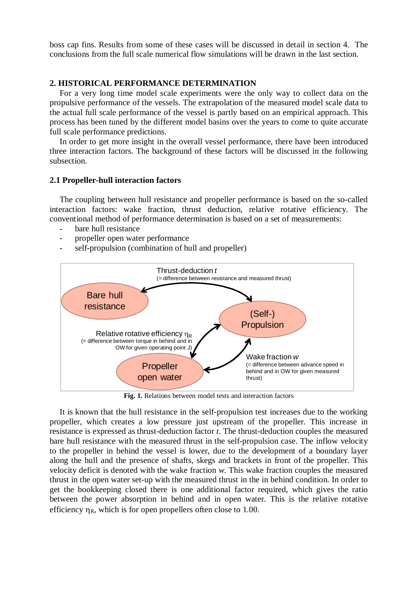boss cap fins. Results from some of these cases will be discussed in detail in section 4. The conclusions from the full scale numerical flow simulations will be drawn in the last section.

# **2. HISTORICAL PERFORMANCE DETERMINATION**

For a very long time model scale experiments were the only way to collect data on the propulsive performance of the vessels. The extrapolation of the measured model scale data to the actual full scale performance of the vessel is partly based on an empirical approach. This process has been tuned by the different model basins over the years to come to quite accurate full scale performance predictions.

In order to get more insight in the overall vessel performance, there have been introduced three interaction factors. The background of these factors will be discussed in the following subsection.

### **2.1 Propeller-hull interaction factors**

The coupling between hull resistance and propeller performance is based on the so-called interaction factors: wake fraction, thrust deduction, relative rotative efficiency. The conventional method of performance determination is based on a set of measurements:

- bare hull resistance
- propeller open water performance
- self-propulsion (combination of hull and propeller)



**Fig. 1.** Relations between model tests and interaction factors

It is known that the hull resistance in the self-propulsion test increases due to the working propeller, which creates a low pressure just upstream of the propeller. This increase in resistance is expressed as thrust-deduction factor *t*. The thrust-deduction couples the measured bare hull resistance with the measured thrust in the self-propulsion case. The inflow velocity to the propeller in behind the vessel is lower, due to the development of a boundary layer along the hull and the presence of shafts, skegs and brackets in front of the propeller. This velocity deficit is denoted with the wake fraction *w*. This wake fraction couples the measured thrust in the open water set-up with the measured thrust in the in behind condition. In order to get the bookkeeping closed there is one additional factor required, which gives the ratio between the power absorption in behind and in open water. This is the relative rotative efficiency  $\eta_R$ , which is for open propellers often close to 1.00.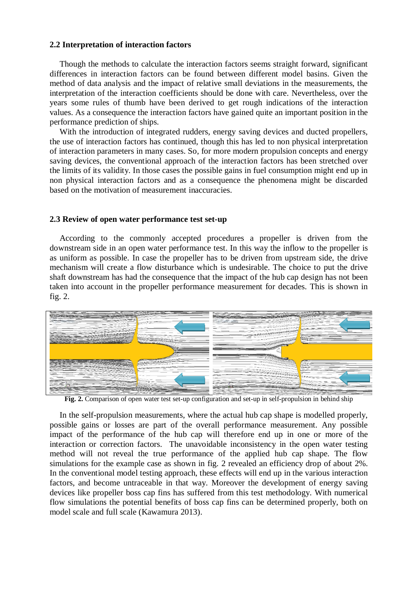### **2.2 Interpretation of interaction factors**

Though the methods to calculate the interaction factors seems straight forward, significant differences in interaction factors can be found between different model basins. Given the method of data analysis and the impact of relative small deviations in the measurements, the interpretation of the interaction coefficients should be done with care. Nevertheless, over the years some rules of thumb have been derived to get rough indications of the interaction values. As a consequence the interaction factors have gained quite an important position in the performance prediction of ships.

With the introduction of integrated rudders, energy saving devices and ducted propellers, the use of interaction factors has continued, though this has led to non physical interpretation of interaction parameters in many cases. So, for more modern propulsion concepts and energy saving devices, the conventional approach of the interaction factors has been stretched over the limits of its validity. In those cases the possible gains in fuel consumption might end up in non physical interaction factors and as a consequence the phenomena might be discarded based on the motivation of measurement inaccuracies.

# **2.3 Review of open water performance test set-up**

According to the commonly accepted procedures a propeller is driven from the downstream side in an open water performance test. In this way the inflow to the propeller is as uniform as possible. In case the propeller has to be driven from upstream side, the drive mechanism will create a flow disturbance which is undesirable. The choice to put the drive shaft downstream has had the consequence that the impact of the hub cap design has not been taken into account in the propeller performance measurement for decades. This is shown in fig. 2.



**Fig. 2.** Comparison of open water test set-up configuration and set-up in self-propulsion in behind ship

In the self-propulsion measurements, where the actual hub cap shape is modelled properly, possible gains or losses are part of the overall performance measurement. Any possible impact of the performance of the hub cap will therefore end up in one or more of the interaction or correction factors. The unavoidable inconsistency in the open water testing method will not reveal the true performance of the applied hub cap shape. The flow simulations for the example case as shown in fig. 2 revealed an efficiency drop of about 2%. In the conventional model testing approach, these effects will end up in the various interaction factors, and become untraceable in that way. Moreover the development of energy saving devices like propeller boss cap fins has suffered from this test methodology. With numerical flow simulations the potential benefits of boss cap fins can be determined properly, both on model scale and full scale (Kawamura 2013).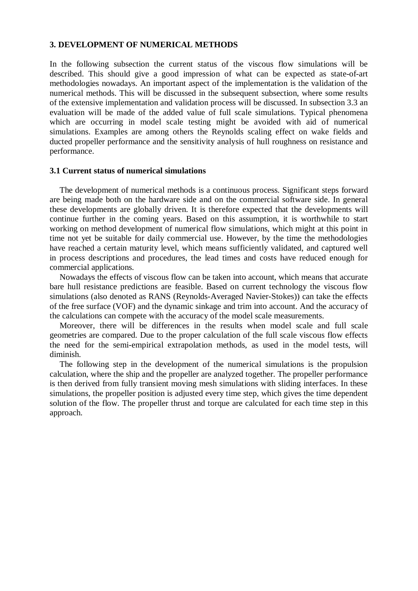### **3. DEVELOPMENT OF NUMERICAL METHODS**

In the following subsection the current status of the viscous flow simulations will be described. This should give a good impression of what can be expected as state-of-art methodologies nowadays. An important aspect of the implementation is the validation of the numerical methods. This will be discussed in the subsequent subsection, where some results of the extensive implementation and validation process will be discussed. In subsection 3.3 an evaluation will be made of the added value of full scale simulations. Typical phenomena which are occurring in model scale testing might be avoided with aid of numerical simulations. Examples are among others the Reynolds scaling effect on wake fields and ducted propeller performance and the sensitivity analysis of hull roughness on resistance and performance.

## **3.1 Current status of numerical simulations**

The development of numerical methods is a continuous process. Significant steps forward are being made both on the hardware side and on the commercial software side. In general these developments are globally driven. It is therefore expected that the developments will continue further in the coming years. Based on this assumption, it is worthwhile to start working on method development of numerical flow simulations, which might at this point in time not yet be suitable for daily commercial use. However, by the time the methodologies have reached a certain maturity level, which means sufficiently validated, and captured well in process descriptions and procedures, the lead times and costs have reduced enough for commercial applications.

Nowadays the effects of viscous flow can be taken into account, which means that accurate bare hull resistance predictions are feasible. Based on current technology the viscous flow simulations (also denoted as RANS (Reynolds-Averaged Navier-Stokes)) can take the effects of the free surface (VOF) and the dynamic sinkage and trim into account. And the accuracy of the calculations can compete with the accuracy of the model scale measurements.

Moreover, there will be differences in the results when model scale and full scale geometries are compared. Due to the proper calculation of the full scale viscous flow effects the need for the semi-empirical extrapolation methods, as used in the model tests, will diminish.

The following step in the development of the numerical simulations is the propulsion calculation, where the ship and the propeller are analyzed together. The propeller performance is then derived from fully transient moving mesh simulations with sliding interfaces. In these simulations, the propeller position is adjusted every time step, which gives the time dependent solution of the flow. The propeller thrust and torque are calculated for each time step in this approach.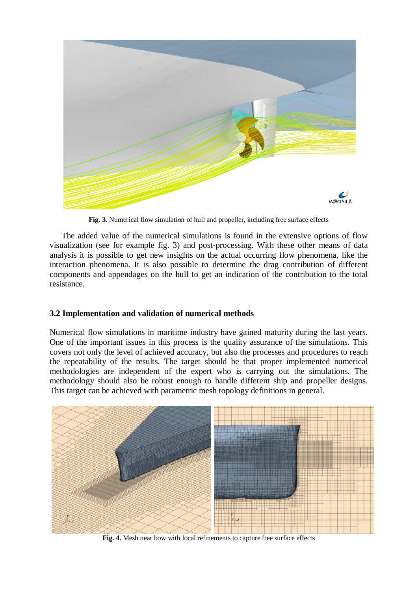

**Fig. 3.** Numerical flow simulation of hull and propeller, including free surface effects

 The added value of the numerical simulations is found in the extensive options of flow visualization (see for example fig. 3) and post-processing. With these other means of data analysis it is possible to get new insights on the actual occurring flow phenomena, like the interaction phenomena. It is also possible to determine the drag contribution of different components and appendages on the hull to get an indication of the contribution to the total resistance.

# **3.2 Implementation and validation of numerical methods**

Numerical flow simulations in maritime industry have gained maturity during the last years. One of the important issues in this process is the quality assurance of the simulations. This covers not only the level of achieved accuracy, but also the processes and procedures to reach the repeatability of the results. The target should be that proper implemented numerical methodologies are independent of the expert who is carrying out the simulations. The methodology should also be robust enough to handle different ship and propeller designs. This target can be achieved with parametric mesh topology definitions in general.



**Fig. 4.** Mesh near bow with local refinements to capture free surface effects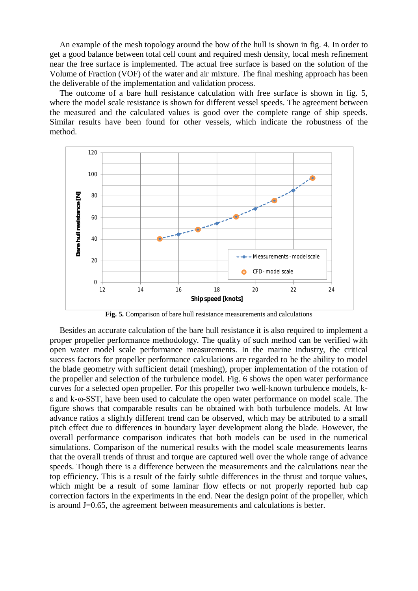An example of the mesh topology around the bow of the hull is shown in fig. 4. In order to get a good balance between total cell count and required mesh density, local mesh refinement near the free surface is implemented. The actual free surface is based on the solution of the Volume of Fraction (VOF) of the water and air mixture. The final meshing approach has been the deliverable of the implementation and validation process.

The outcome of a bare hull resistance calculation with free surface is shown in fig. 5, where the model scale resistance is shown for different vessel speeds. The agreement between the measured and the calculated values is good over the complete range of ship speeds. Similar results have been found for other vessels, which indicate the robustness of the method.



**Fig. 5.** Comparison of bare hull resistance measurements and calculations

Besides an accurate calculation of the bare hull resistance it is also required to implement a proper propeller performance methodology. The quality of such method can be verified with open water model scale performance measurements. In the marine industry, the critical success factors for propeller performance calculations are regarded to be the ability to model the blade geometry with sufficient detail (meshing), proper implementation of the rotation of the propeller and selection of the turbulence model. Fig. 6 shows the open water performance curves for a selected open propeller. For this propeller two well-known turbulence models, k- $\epsilon$  and k- $\omega$ -SST, have been used to calculate the open water performance on model scale. The figure shows that comparable results can be obtained with both turbulence models. At low advance ratios a slightly different trend can be observed, which may be attributed to a small pitch effect due to differences in boundary layer development along the blade. However, the overall performance comparison indicates that both models can be used in the numerical simulations. Comparison of the numerical results with the model scale measurements learns that the overall trends of thrust and torque are captured well over the whole range of advance speeds. Though there is a difference between the measurements and the calculations near the top efficiency. This is a result of the fairly subtle differences in the thrust and torque values, which might be a result of some laminar flow effects or not properly reported hub cap correction factors in the experiments in the end. Near the design point of the propeller, which is around J=0.65, the agreement between measurements and calculations is better.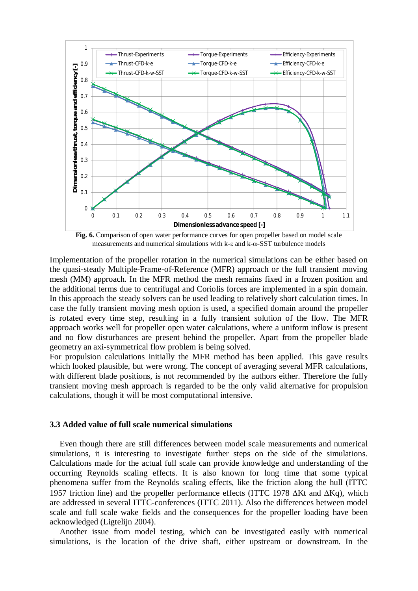

**Fig. 6.** Comparison of open water performance curves for open propeller based on model scale measurements and numerical simulations with  $k$ - $\varepsilon$  and  $k$ - $\omega$ -SST turbulence models

Implementation of the propeller rotation in the numerical simulations can be either based on the quasi-steady Multiple-Frame-of-Reference (MFR) approach or the full transient moving mesh (MM) approach. In the MFR method the mesh remains fixed in a frozen position and the additional terms due to centrifugal and Coriolis forces are implemented in a spin domain. In this approach the steady solvers can be used leading to relatively short calculation times. In case the fully transient moving mesh option is used, a specified domain around the propeller is rotated every time step, resulting in a fully transient solution of the flow. The MFR approach works well for propeller open water calculations, where a uniform inflow is present and no flow disturbances are present behind the propeller. Apart from the propeller blade geometry an axi-symmetrical flow problem is being solved.

For propulsion calculations initially the MFR method has been applied. This gave results which looked plausible, but were wrong. The concept of averaging several MFR calculations, with different blade positions, is not recommended by the authors either. Therefore the fully transient moving mesh approach is regarded to be the only valid alternative for propulsion calculations, though it will be most computational intensive.

#### **3.3 Added value of full scale numerical simulations**

Even though there are still differences between model scale measurements and numerical simulations, it is interesting to investigate further steps on the side of the simulations. Calculations made for the actual full scale can provide knowledge and understanding of the occurring Reynolds scaling effects. It is also known for long time that some typical phenomena suffer from the Reynolds scaling effects, like the friction along the hull (ITTC 1957 friction line) and the propeller performance effects (ITTC 1978  $\Delta$ Kt and  $\Delta$ Kq), which are addressed in several ITTC-conferences (ITTC 2011). Also the differences between model scale and full scale wake fields and the consequences for the propeller loading have been acknowledged (Ligtelijn 2004).

Another issue from model testing, which can be investigated easily with numerical simulations, is the location of the drive shaft, either upstream or downstream. In the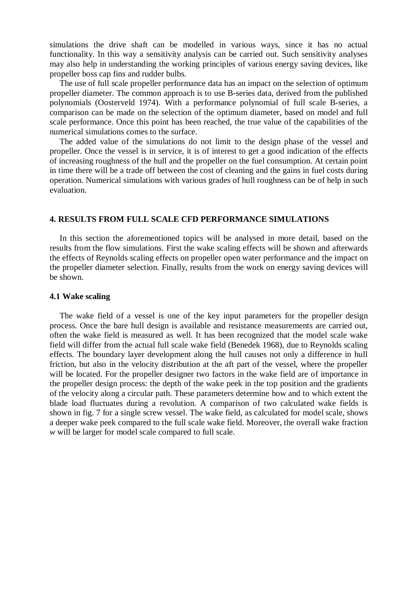simulations the drive shaft can be modelled in various ways, since it has no actual functionality. In this way a sensitivity analysis can be carried out. Such sensitivity analyses may also help in understanding the working principles of various energy saving devices, like propeller boss cap fins and rudder bulbs.

The use of full scale propeller performance data has an impact on the selection of optimum propeller diameter. The common approach is to use B-series data, derived from the published polynomials (Oosterveld 1974). With a performance polynomial of full scale B-series, a comparison can be made on the selection of the optimum diameter, based on model and full scale performance. Once this point has been reached, the true value of the capabilities of the numerical simulations comes to the surface.

The added value of the simulations do not limit to the design phase of the vessel and propeller. Once the vessel is in service, it is of interest to get a good indication of the effects of increasing roughness of the hull and the propeller on the fuel consumption. At certain point in time there will be a trade off between the cost of cleaning and the gains in fuel costs during operation. Numerical simulations with various grades of hull roughness can be of help in such evaluation.

# **4. RESULTS FROM FULL SCALE CFD PERFORMANCE SIMULATIONS**

In this section the aforementioned topics will be analysed in more detail, based on the results from the flow simulations. First the wake scaling effects will be shown and afterwards the effects of Reynolds scaling effects on propeller open water performance and the impact on the propeller diameter selection. Finally, results from the work on energy saving devices will be shown.

### **4.1 Wake scaling**

The wake field of a vessel is one of the key input parameters for the propeller design process. Once the bare hull design is available and resistance measurements are carried out, often the wake field is measured as well. It has been recognized that the model scale wake field will differ from the actual full scale wake field (Benedek 1968), due to Reynolds scaling effects. The boundary layer development along the hull causes not only a difference in hull friction, but also in the velocity distribution at the aft part of the vessel, where the propeller will be located. For the propeller designer two factors in the wake field are of importance in the propeller design process: the depth of the wake peek in the top position and the gradients of the velocity along a circular path. These parameters determine how and to which extent the blade load fluctuates during a revolution. A comparison of two calculated wake fields is shown in fig. 7 for a single screw vessel. The wake field, as calculated for model scale, shows a deeper wake peek compared to the full scale wake field. Moreover, the overall wake fraction *w* will be larger for model scale compared to full scale.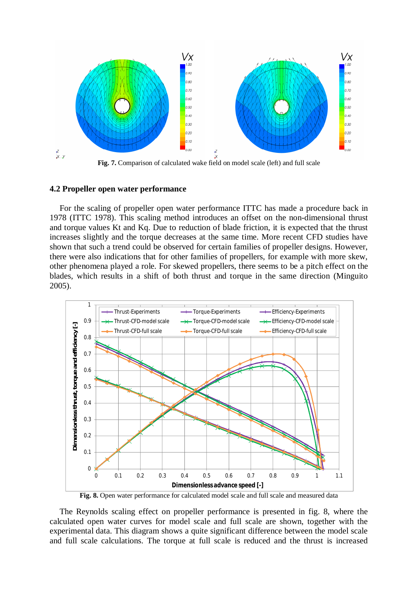

**Fig. 7.** Comparison of calculated wake field on model scale (left) and full scale

### **4.2 Propeller open water performance**

For the scaling of propeller open water performance ITTC has made a procedure back in 1978 (ITTC 1978). This scaling method introduces an offset on the non-dimensional thrust and torque values Kt and Kq. Due to reduction of blade friction, it is expected that the thrust increases slightly and the torque decreases at the same time. More recent CFD studies have shown that such a trend could be observed for certain families of propeller designs. However, there were also indications that for other families of propellers, for example with more skew, other phenomena played a role. For skewed propellers, there seems to be a pitch effect on the blades, which results in a shift of both thrust and torque in the same direction (Minguito 2005).



Fig. 8. Open water performance for calculated model scale and full scale and measured data

The Reynolds scaling effect on propeller performance is presented in fig. 8, where the calculated open water curves for model scale and full scale are shown, together with the experimental data. This diagram shows a quite significant difference between the model scale and full scale calculations. The torque at full scale is reduced and the thrust is increased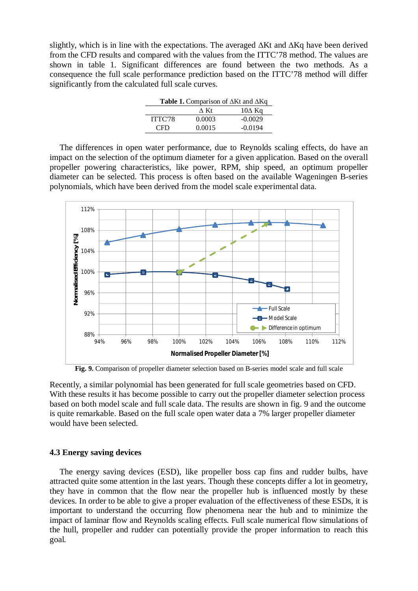slightly, which is in line with the expectations. The averaged  $\Delta Kt$  and  $\Delta Kq$  have been derived from the CFD results and compared with the values from the ITTC'78 method. The values are shown in table 1. Significant differences are found between the two methods. As a consequence the full scale performance prediction based on the ITTC'78 method will differ significantly from the calculated full scale curves.

| <b>Table 1.</b> Comparison of $\Delta$ Kt and $\Delta$ Kq |        |               |
|-----------------------------------------------------------|--------|---------------|
|                                                           | A Kt   | $10\Delta$ Kq |
| ITTC'78                                                   | 0.0003 | $-0.0029$     |
| <b>CFD</b>                                                | 0.0015 | $-0.0194$     |

The differences in open water performance, due to Reynolds scaling effects, do have an impact on the selection of the optimum diameter for a given application. Based on the overall propeller powering characteristics, like power, RPM, ship speed, an optimum propeller diameter can be selected. This process is often based on the available Wageningen B-series polynomials, which have been derived from the model scale experimental data.



**Fig. 9.** Comparison of propeller diameter selection based on B-series model scale and full scale

Recently, a similar polynomial has been generated for full scale geometries based on CFD. With these results it has become possible to carry out the propeller diameter selection process based on both model scale and full scale data. The results are shown in fig. 9 and the outcome is quite remarkable. Based on the full scale open water data a 7% larger propeller diameter would have been selected.

### **4.3 Energy saving devices**

The energy saving devices (ESD), like propeller boss cap fins and rudder bulbs, have attracted quite some attention in the last years. Though these concepts differ a lot in geometry, they have in common that the flow near the propeller hub is influenced mostly by these devices. In order to be able to give a proper evaluation of the effectiveness of these ESDs, it is important to understand the occurring flow phenomena near the hub and to minimize the impact of laminar flow and Reynolds scaling effects. Full scale numerical flow simulations of the hull, propeller and rudder can potentially provide the proper information to reach this goal.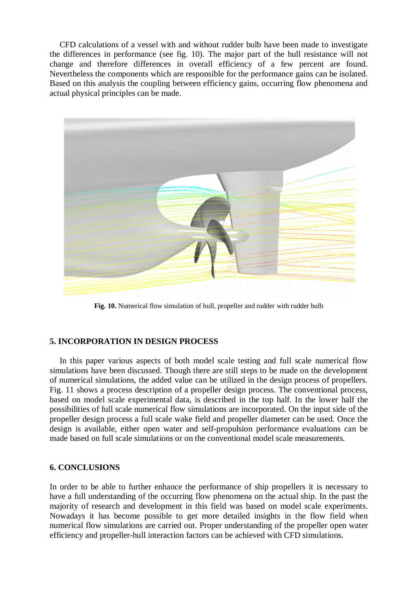CFD calculations of a vessel with and without rudder bulb have been made to investigate the differences in performance (see fig. 10). The major part of the hull resistance will not change and therefore differences in overall efficiency of a few percent are found. Nevertheless the components which are responsible for the performance gains can be isolated. Based on this analysis the coupling between efficiency gains, occurring flow phenomena and actual physical principles can be made.



Fig. 10. Numerical flow simulation of hull, propeller and rudder with rudder bulb

# **5. INCORPORATION IN DESIGN PROCESS**

In this paper various aspects of both model scale testing and full scale numerical flow simulations have been discussed. Though there are still steps to be made on the development of numerical simulations, the added value can be utilized in the design process of propellers. Fig. 11 shows a process description of a propeller design process. The conventional process, based on model scale experimental data, is described in the top half. In the lower half the possibilities of full scale numerical flow simulations are incorporated. On the input side of the propeller design process a full scale wake field and propeller diameter can be used. Once the design is available, either open water and self-propulsion performance evaluations can be made based on full scale simulations or on the conventional model scale measurements.

# **6. CONCLUSIONS**

In order to be able to further enhance the performance of ship propellers it is necessary to have a full understanding of the occurring flow phenomena on the actual ship. In the past the majority of research and development in this field was based on model scale experiments. Nowadays it has become possible to get more detailed insights in the flow field when numerical flow simulations are carried out. Proper understanding of the propeller open water efficiency and propeller-hull interaction factors can be achieved with CFD simulations.